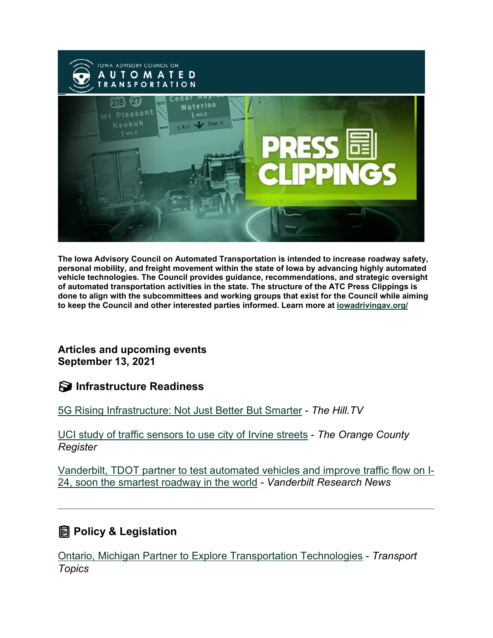

**The Iowa Advisory Council on Automated Transportation is intended to increase roadway safety, personal mobility, and freight movement within the state of Iowa by advancing highly automated vehicle technologies. The Council provides guidance, recommendations, and strategic oversight of automated transportation activities in the state. The structure of the ATC Press Clippings is done to align with the subcommittees and working groups that exist for the Council while aiming to keep the Council and other interested parties informed. Learn more at [iowadrivingav.org/](https://iowadrivingav.org/?utm_medium=email&utm_source=govdelivery)**

**Articles and upcoming events September 13, 2021**

**S** Infrastructure Readiness

[5G Rising Infrastructure: Not Just Better But Smarter](https://thehill.com/hilltv/5g-rising/570241-5g-rising-infrastructure-not-just-better-but-smarter?utm_medium=email&utm_source=govdelivery) - *The Hill.TV*

[UCI study of traffic sensors to use city of Irvine streets](https://www.ocregister.com/2021/09/01/uci-study-of-traffic-sensors-to-use-city-of-irvine-streets/?utm_medium=email&utm_source=govdelivery) - *The Orange County Register*

[Vanderbilt, TDOT partner to test automated vehicles and improve traffic flow on I-](https://news.vanderbilt.edu/2021/09/02/vanderbilt-tdot-partner-to-test-automated-vehicles-and-improve-traffic-flow-on-i-24-soon-the-smartest-roadway-in-the-world/?utm_medium=email&utm_source=govdelivery)[24, soon the smartest roadway in the world](https://news.vanderbilt.edu/2021/09/02/vanderbilt-tdot-partner-to-test-automated-vehicles-and-improve-traffic-flow-on-i-24-soon-the-smartest-roadway-in-the-world/?utm_medium=email&utm_source=govdelivery) *- Vanderbilt Research News*

## **Policy & Legislation**

[Ontario, Michigan Partner to Explore Transportation Technologies](https://www.ttnews.com/articles/ontario-michigan-partner-explore-transportation-technologies?utm_medium=email&utm_source=govdelivery) - *Transport Topics*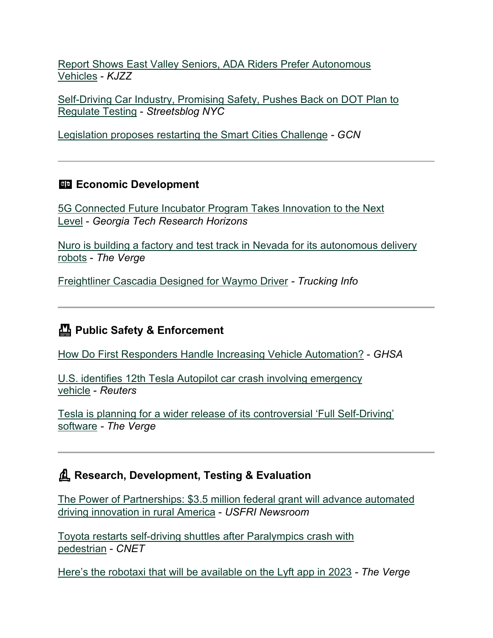[Report Shows East Valley Seniors, ADA Riders Prefer Autonomous](https://kjzz.org/content/1712611/report-shows-east-valley-seniors-ada-riders-prefer-autonomous-vehicles?utm_medium=email&utm_source=govdelivery)  [Vehicles](https://kjzz.org/content/1712611/report-shows-east-valley-seniors-ada-riders-prefer-autonomous-vehicles?utm_medium=email&utm_source=govdelivery) - *KJZZ*

[Self-Driving Car Industry, Promising Safety, Pushes Back on DOT Plan to](https://nyc.streetsblog.org/2021/09/01/self-driving-car-industry-promising-safety-pushes-back-on-dot-plan-to-regulate-testing/?utm_medium=email&utm_source=govdelivery)  [Regulate Testing](https://nyc.streetsblog.org/2021/09/01/self-driving-car-industry-promising-safety-pushes-back-on-dot-plan-to-regulate-testing/?utm_medium=email&utm_source=govdelivery) - *Streetsblog NYC*

[Legislation proposes restarting the Smart Cities Challenge](https://gcn.com/articles/2021/09/08/smart-city-start-act.aspx?utm_medium=email&utm_source=govdelivery) *- GCN*

#### **Economic Development**

[5G Connected Future Incubator Program Takes Innovation to the Next](https://rh.gatech.edu/news/650270/5g-connected-future-incubator-program-takes-innovation-next-level?utm_medium=email&utm_source=govdelivery)  [Level](https://rh.gatech.edu/news/650270/5g-connected-future-incubator-program-takes-innovation-next-level?utm_medium=email&utm_source=govdelivery) - *Georgia Tech Research Horizons*

[Nuro is building a factory and test track in Nevada for its autonomous delivery](https://www.theverge.com/2021/8/26/22642846/nuro-autonomous-delivery-factory-test-track-nevada?utm_medium=email&utm_source=govdelivery)  [robots](https://www.theverge.com/2021/8/26/22642846/nuro-autonomous-delivery-factory-test-track-nevada?utm_medium=email&utm_source=govdelivery) - *The Verge*

[Freightliner Cascadia Designed for Waymo Driver](https://www.truckinginfo.com/10150719/freightliner-cascadia-designed-for-waymo-driver?utm_medium=email&utm_source=govdelivery) *- Trucking Info*

### **Public Safety & Enforcement**

[How Do First Responders Handle Increasing Vehicle Automation?](https://www.ghsa.org/resources/news-releases/Preparation-for-Automated-Vehicle-Technology21?utm_medium=email&utm_source=govdelivery) - *GHSA*

[U.S. identifies 12th Tesla Autopilot car crash involving emergency](https://www.reuters.com/business/autos-transportation/us-identifies-12th-tesla-assisted-systems-car-crash-involving-emergency-vehicle-2021-09-01/?utm_medium=email&utm_source=govdelivery)  [vehicle](https://www.reuters.com/business/autos-transportation/us-identifies-12th-tesla-assisted-systems-car-crash-involving-emergency-vehicle-2021-09-01/?utm_medium=email&utm_source=govdelivery) - *Reuters*

[Tesla is planning for a wider release of its controversial 'Full Self-Driving'](https://www.theverge.com/2021/9/7/22660692/tesla-full-self-driving-software-release-date-leak?utm_medium=email&utm_source=govdelivery)  [software](https://www.theverge.com/2021/9/7/22660692/tesla-full-self-driving-software-release-date-leak?utm_medium=email&utm_source=govdelivery) *- The Verge*

#### **Research, Development, Testing & Evaluation**

[The Power of Partnerships: \\$3.5 million federal grant will advance automated](https://www.usf.edu/research-innovation/news/2021/cutr-partner-grant.aspx?utm_medium=email&utm_source=govdelivery)  [driving innovation in rural America](https://www.usf.edu/research-innovation/news/2021/cutr-partner-grant.aspx?utm_medium=email&utm_source=govdelivery) - *USFRI Newsroom*

[Toyota restarts self-driving shuttles after Paralympics crash with](https://www.cnet.com/roadshow/news/toyota-self-driving-shuttles-paralympics-crash-pedestrian/?utm_medium=email&utm_source=govdelivery)  [pedestrian](https://www.cnet.com/roadshow/news/toyota-self-driving-shuttles-paralympics-crash-pedestrian/?utm_medium=email&utm_source=govdelivery) - *CNET*

[Here's the robotaxi that will be available on the Lyft app in 2023](https://www.theverge.com/2021/8/31/22648789/motional-hyundai-ioniq5-robotaxi-lyft-photos?utm_medium=email&utm_source=govdelivery) *- The Verge*